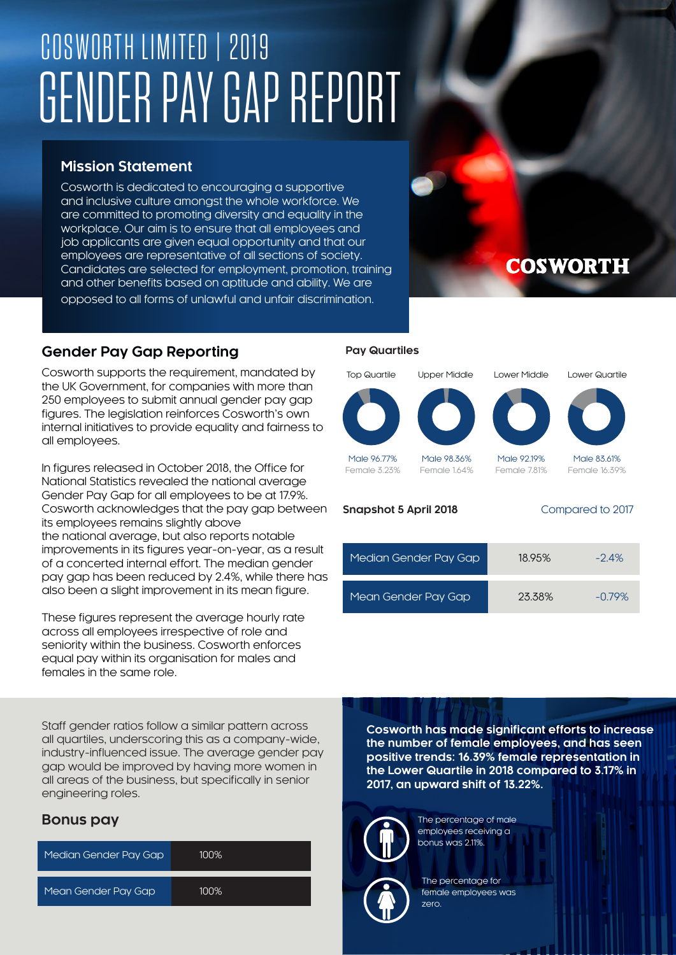# COSWORTH LIMITED | 2019 GENDER PAY GAP REPORT

## **Mission Statement**

Cosworth is dedicated to encouraging a supportive and inclusive culture amongst the whole workforce. We are committed to promoting diversity and equality in the workplace. Our aim is to ensure that all employees and job applicants are given equal opportunity and that our employees are representative of all sections of society. Candidates are selected for employment, promotion, training and other benefits based on aptitude and ability. We are opposed to all forms of unlawful and unfair discrimination.

### **Gender Pay Gap Reporting**

Cosworth supports the requirement, mandated by the UK Government, for companies with more than 250 employees to submit annual gender pay gap figures. The legislation reinforces Cosworth's own internal initiatives to provide equality and fairness to all employees.

In figures released in October 2018, the Office for National Statistics revealed the national average Gender Pay Gap for all employees to be at 17.9%. Cosworth acknowledges that the pay gap between its employees remains slightly above the national average, but also reports notable improvements in its figures year-on-year, as a result of a concerted internal effort. The median gender pay gap has been reduced by 2.4%, while there has also been a slight improvement in its mean figure.

These figures represent the average hourly rate across all employees irrespective of role and seniority within the business. Cosworth enforces equal pay within its organisation for males and females in the same role.

Staff gender ratios follow a similar pattern across all quartiles, underscoring this as a company-wide, industry-influenced issue. The average gender pay gap would be improved by having more women in all areas of the business, but specifically in senior engineering roles.

### **Bonus pay**

| Median Gender Pay Gap | 100% |
|-----------------------|------|
| Mean Gender Pay Gap   | 100% |

#### **Pay Quartiles**

Male 96.77% Female 3.23%





Male 98.36% Female 1.64%

Male 92.19% Female 7.81%

# Female 16.39%

Male 83.61%

| <b>Snapshot 5 April 2018</b> | Compared to 2017 |
|------------------------------|------------------|
|                              |                  |

| Median Gender Pay Gap | 18.95% | $-2.4%$   |
|-----------------------|--------|-----------|
| Mean Gender Pay Gap   | 23.38% | $-0.79\%$ |

**Cosworth has made significant efforts to increase the number of female employees, and has seen positive trends: 16.39% female representation in the Lower Quartile in 2018 compared to 3.17% in 2017, an upward shift of 13.22%.**



The percentage of male employees receiving a bonus was 2.11%.



The percentage for female employees was zero.

# **COSWORTH**